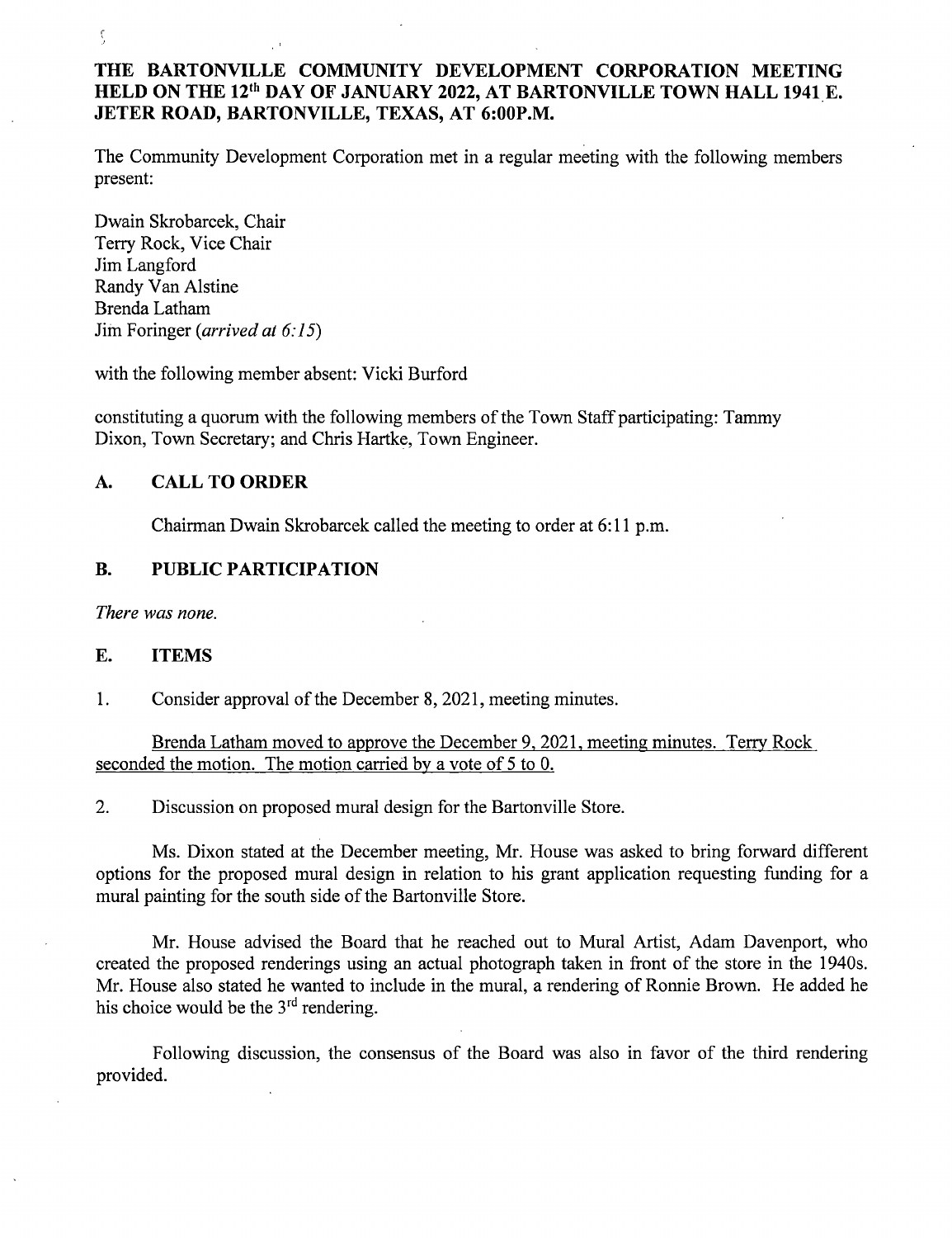# THE BARTONVILLE COMMUNITY DEVELOPMENT CORPORATION MEETING HELD ON THE 12<sup>th</sup> DAY OF JANUARY 2022, AT BARTONVILLE TOWN HALL 1941 E. JETER ROAD, BARTONVILLE, TEXAS, AT 6:00P.M.

The Community Development Corporation met in a regular meeting with the following members present:

Dwain Skrobarcek, Chair Terry Rock, Vice Chair Jim Langford Randy Van Alstine Brenda Latham Jim Foringer (*arrived at 6:15*)

 $\zeta$ 

with the following member absent: Vicki Burford

constituting a quorum with the following members of the Town Staff participating: Tammy Dixon, Town Secretary; and Chris Hartke, Town Engineer.

# A. CALL TO ORDER

Chairman Dwain Skrobarcek called the meeting to order at 6: 11 p.m.

### B. PUBLIC PARTICIPATION

There was none.

#### E. ITEMS

1. Consider approval of the December 8, 2021, meeting minutes.

Brenda Latham moved to approve the December 9, 2021, meeting minutes. Terry Rock seconded the motion. The motion carried by <sup>a</sup> vote of <sup>5</sup> to 0.

2. Discussion on proposed mural design for the Bartonville Store.

Ms. Dixon stated at the December meeting, Mr. House was asked to bring forward different options for the proposed mural design in relation to his grant application requesting funding for a mural painting for the south side of the Bartonville Store.

Mr. House advised the Board that he reached out to Mural Artist, Adam Davenport, who created the proposed renderings using an actual photograph taken in front of the store in the 1940s. Mr. House also stated he wanted to include in the mural, a rendering of Ronnie Brown. He added he his choice would be the 3<sup>rd</sup> rendering

Following discussion, the consensus of the Board was also in favor of the third rendering provided.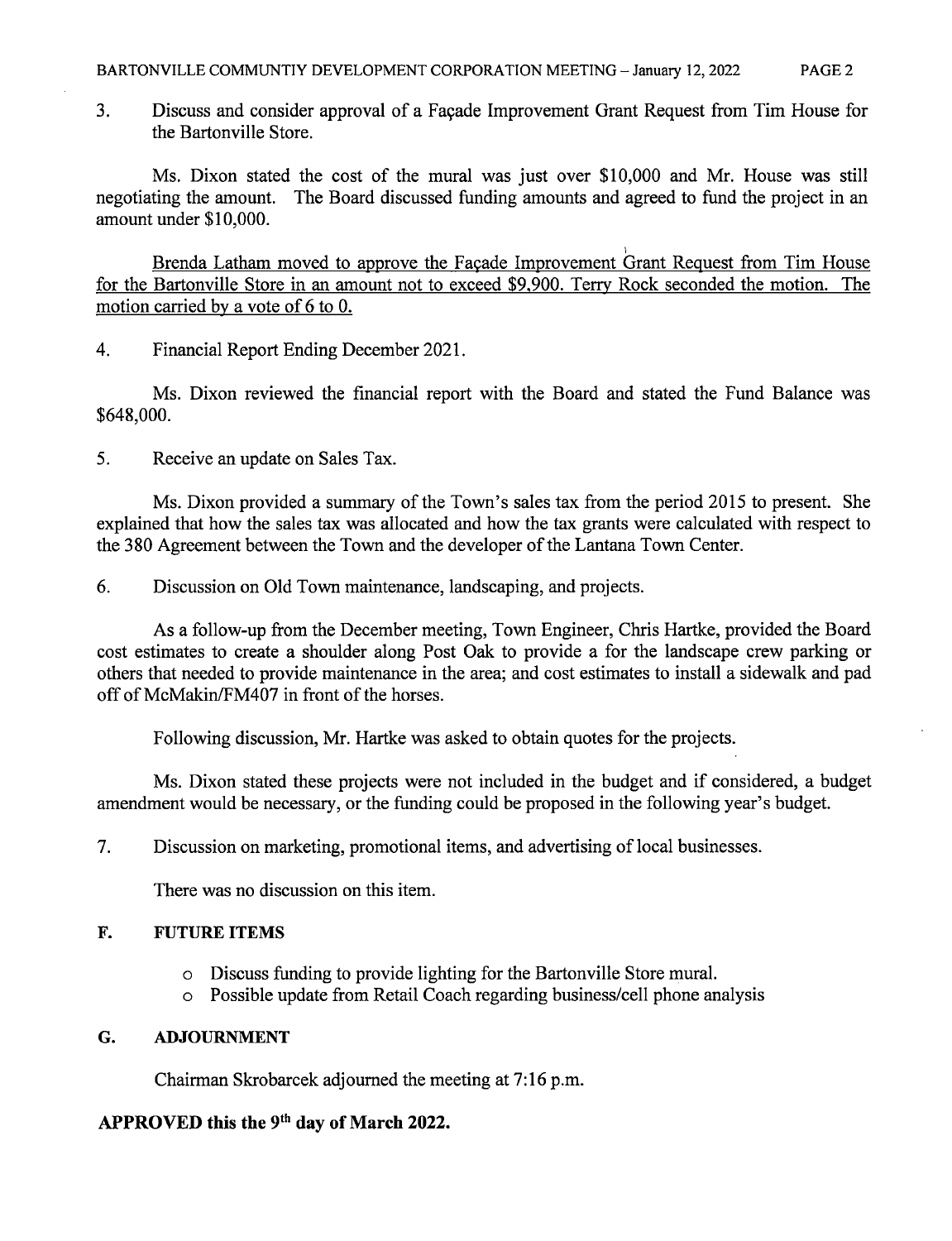3. Discuss and consider approval of a Facade Improvement Grant Request from Tim House for the Bartonville Store.

Ms. Dixon stated the cost of the mural was just over \$10,000 and Mr. House was still negotiating the amount. The Board discussed funding amounts and agreed to fund the project in an amount under \$10,000.

Brenda Latham moved to approve the Facade Improvement Grant Request from Tim House for the Bartonville Store in an amount not to exceed \$9,900. Terry Rock seconded the motion. The motion carried by a vote of 6 to 0.

4. Financial Report Ending December 2021.

Ms. Dixon reviewed the financial report with the Board and stated the Fund Balance was 648, 000.

5. Receive an update on Sales Tax.

Ms. Dixon provided a summary of the Town's sales tax from the period 2015 to present. She explained that how the sales tax was allocated and how the tax grants were calculated with respect to the 380 Agreement between the Town and the developer of the Lantana Town Center.

6. Discussion on Old Town maintenance, landscaping, and projects.

As a follow-up from the December meeting, Town Engineer, Chris Hartke, provided the Board cost estimates to create a shoulder along Post Oak to provide a for the landscape crew parking or others that needed to provide maintenance in the area; and cost estimates to install a sidewalk and pad off of McMakin/FM407 in front of the horses.

Following discussion, Mr. Hartke was asked to obtain quotes for the projects.

Ms. Dixon stated these projects were not included in the budget and if considered, a budget amendment would be necessary, or the funding could be proposed in the following year's budget.

7. Discussion on marketing, promotional items, and advertising of local businesses.

There was no discussion on this item.

### F. FUTURE ITEMS

- o Discuss funding to provide lighting for the Bartonville Store mural.
- o Possible update from Retail Coach regarding business/ cell phone analysis

### G. ADJOURNMENT

Chairman Skrobarcek adjourned the meeting at 7: 16 p.m.

# APPROVED this the 9<sup>th</sup> day of March 2022.